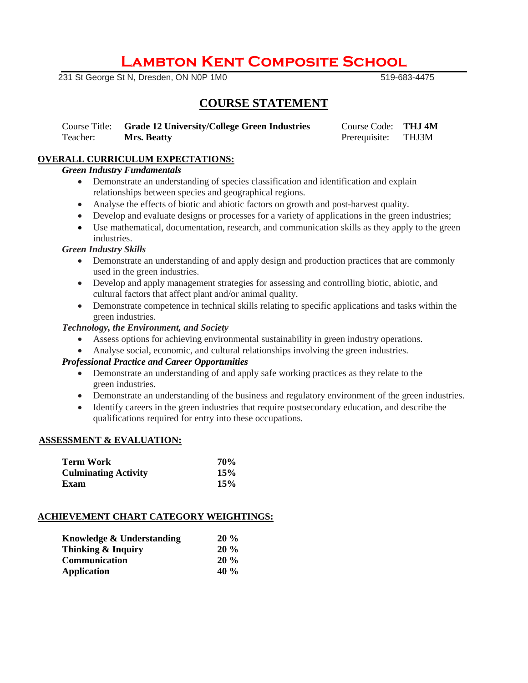# **Lambton Kent Composite School**

**231 St George St N, Dresden, ON N0P 1M0** 519-683-4475

# **COURSE STATEMENT**

Course Title: **Grade 12 University/College Green Industries** Course Code: **THJ 4M** Teacher: **Mrs. Beatty Prerequisite:** THJ3M

# **OVERALL CURRICULUM EXPECTATIONS:**

### *Green Industry Fundamentals*

- Demonstrate an understanding of species classification and identification and explain relationships between species and geographical regions.
- Analyse the effects of biotic and abiotic factors on growth and post-harvest quality.
- Develop and evaluate designs or processes for a variety of applications in the green industries;
- Use mathematical, documentation, research, and communication skills as they apply to the green industries.

#### *Green Industry Skills*

- Demonstrate an understanding of and apply design and production practices that are commonly used in the green industries.
- Develop and apply management strategies for assessing and controlling biotic, abiotic, and cultural factors that affect plant and/or animal quality.
- Demonstrate competence in technical skills relating to specific applications and tasks within the green industries.

#### *Technology, the Environment, and Society*

- Assess options for achieving environmental sustainability in green industry operations.
- Analyse social, economic, and cultural relationships involving the green industries.

# *Professional Practice and Career Opportunities*

- Demonstrate an understanding of and apply safe working practices as they relate to the green industries.
- Demonstrate an understanding of the business and regulatory environment of the green industries.
- Identify careers in the green industries that require postsecondary education, and describe the qualifications required for entry into these occupations.

#### **ASSESSMENT & EVALUATION:**

| Term Work                   | 70% |
|-----------------------------|-----|
| <b>Culminating Activity</b> | 15% |
| <b>Exam</b>                 | 15% |

# **ACHIEVEMENT CHART CATEGORY WEIGHTINGS:**

| Knowledge & Understanding | $20\%$  |
|---------------------------|---------|
| Thinking & Inquiry        | $20\%$  |
| <b>Communication</b>      | $20\%$  |
| <b>Application</b>        | 40 $\%$ |